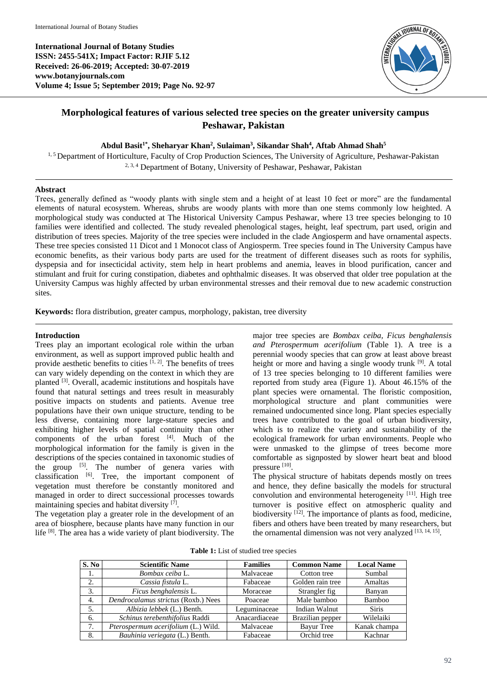**International Journal of Botany Studies ISSN: 2455-541X; Impact Factor: RJIF 5.12 Received: 26-06-2019; Accepted: 30-07-2019 www.botanyjournals.com Volume 4; Issue 5; September 2019; Page No. 92-97**



# **Morphological features of various selected tree species on the greater university campus Peshawar, Pakistan**

#### **Abdul Basit1\*, Sheharyar Khan<sup>2</sup> , Sulaiman<sup>3</sup> , Sikandar Shah<sup>4</sup> , Aftab Ahmad Shah<sup>5</sup>**

<sup>1, 5</sup> Department of Horticulture, Faculty of Crop Production Sciences, The University of Agriculture, Peshawar-Pakistan 2, 3, 4 Department of Botany, University of Peshawar, Peshawar, Pakistan

#### **Abstract**

Trees, generally defined as "woody plants with single stem and a height of at least 10 feet or more" are the fundamental elements of natural ecosystem. Whereas, shrubs are woody plants with more than one stems commonly low heighted. A morphological study was conducted at The Historical University Campus Peshawar, where 13 tree species belonging to 10 families were identified and collected. The study revealed phenological stages, height, leaf spectrum, part used, origin and distribution of trees species. Majority of the tree species were included in the clade Angiosperm and have ornamental aspects. These tree species consisted 11 Dicot and 1 Monocot class of Angiosperm. Tree species found in The University Campus have economic benefits, as their various body parts are used for the treatment of different diseases such as roots for syphilis, dyspepsia and for insecticidal activity, stem help in heart problems and anemia, leaves in blood purification, cancer and stimulant and fruit for curing constipation, diabetes and ophthalmic diseases. It was observed that older tree population at the University Campus was highly affected by urban environmental stresses and their removal due to new academic construction sites.

**Keywords:** flora distribution, greater campus, morphology, pakistan, tree diversity

#### **Introduction**

Trees play an important ecological role within the urban environment, as well as support improved public health and provide aesthetic benefits to cities  $[1, 2]$ . The benefits of trees can vary widely depending on the context in which they are planted [3]. Overall, academic institutions and hospitals have found that natural settings and trees result in measurably positive impacts on students and patients. Avenue tree populations have their own unique structure, tending to be less diverse, containing more large-stature species and exhibiting higher levels of spatial continuity than other components of the urban forest  $[4]$ . Much of the morphological information for the family is given in the descriptions of the species contained in taxonomic studies of the group  $[5]$ . The number of genera varies with classification  $^{[6]}$ . Tree, the important component of vegetation must therefore be constantly monitored and managed in order to direct successional processes towards maintaining species and habitat diversity [7].

The vegetation play a greater role in the development of an area of biosphere, because plants have many function in our life <sup>[8]</sup>. The area has a wide variety of plant biodiversity. The

major tree species are *Bombax ceiba, Ficus benghalensis and Pterospermum acerifolium* (Table 1). A tree is a perennial woody species that can grow at least above breast height or more and having a single woody trunk <sup>[9]</sup>. A total of 13 tree species belonging to 10 different families were reported from study area (Figure 1). About 46.15% of the plant species were ornamental. The floristic composition, morphological structure and plant communities were remained undocumented since long. Plant species especially trees have contributed to the goal of urban biodiversity, which is to realize the variety and sustainability of the ecological framework for urban environments. People who were unmasked to the glimpse of trees become more comfortable as signposted by slower heart beat and blood pressure [10].

The physical structure of habitats depends mostly on trees and hence, they define basically the models for structural convolution and environmental heterogeneity [11]. High tree turnover is positive effect on atmospheric quality and biodiversity  $[12]$ . The importance of plants as food, medicine, fibers and others have been treated by many researchers, but the ornamental dimension was not very analyzed [13, 14, 15].

|  |  | Table 1: List of studied tree species |  |
|--|--|---------------------------------------|--|
|  |  |                                       |  |

| S. No | <b>Scientific Name</b>              | <b>Families</b> | <b>Common Name</b> | <b>Local Name</b> |  |
|-------|-------------------------------------|-----------------|--------------------|-------------------|--|
| 1.    | Bombax ceiba L.                     | Malvaceae       | Cotton tree        | Sumbal            |  |
| 2.    | Cassia fistula L.                   | Fabaceae        | Golden rain tree   | Amaltas           |  |
| 3.    | Ficus benghalensis L.               | Moraceae        | Strangler fig.     | Banyan            |  |
| 4.    | Dendrocalamus strictus (Roxb.) Nees | Poaceae         | Male bamboo        | Bamboo            |  |
| 5.    | Albizia lebbek (L.) Benth.          | Leguminaceae    | Indian Walnut      | <b>Siris</b>      |  |
| 6.    | Schinus terebenthifolius Raddi      | Anacardiaceae   | Brazilian pepper   | Wilelaiki         |  |
| 7.    | Pterospermum acerifolium (L.) Wild. | Malvaceae       | <b>Bayur</b> Tree  | Kanak champa      |  |
| 8.    | Bauhinia veriegata (L.) Benth.      | Fabaceae        | Orchid tree        | Kachnar           |  |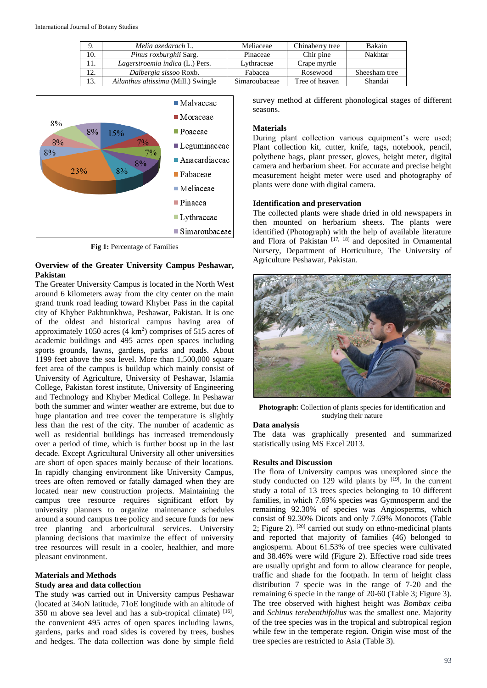|     | Melia azedarach L.                  | Meliaceae     | Chinaberry tree | Bakain        |
|-----|-------------------------------------|---------------|-----------------|---------------|
| 10. | Pinus roxburghii Sarg.              | Pinaceae      | Chir pine       | Nakhtar       |
| 11. | Lagerstroemia indica (L.) Pers.     | Lvthraceae    | Crape myrtle    |               |
| 12. | Dalbergia sissoo Roxb.              | Fabacea       | Rosewood        | Sheesham tree |
| 13. | Ailanthus altissima (Mill.) Swingle | Simaroubaceae | Tree of heaven  | Shandai       |



**Fig 1: Percentage of Families** 

### **Overview of the Greater University Campus Peshawar, Pakistan**

The Greater University Campus is located in the North West around 6 kilometers away from the city center on the main grand trunk road leading toward Khyber Pass in the capital city of Khyber Pakhtunkhwa, Peshawar, Pakistan. It is one of the oldest and historical campus having area of approximately  $1050$  acres  $(4 \text{ km}^2)$  comprises of  $515$  acres of academic buildings and 495 acres open spaces including sports grounds, lawns, gardens, parks and roads. About 1199 feet above the sea level. More than 1,500,000 square feet area of the campus is buildup which mainly consist of University of Agriculture, University of Peshawar, Islamia College, Pakistan forest institute, University of Engineering and Technology and Khyber Medical College. In Peshawar both the summer and winter weather are extreme, but due to huge plantation and tree cover the temperature is slightly less than the rest of the city. The number of academic as well as residential buildings has increased tremendously over a period of time, which is further boost up in the last decade. Except Agricultural University all other universities are short of open spaces mainly because of their locations. In rapidly changing environment like University Campus, trees are often removed or fatally damaged when they are located near new construction projects. Maintaining the campus tree resource requires significant effort by university planners to organize maintenance schedules around a sound campus tree policy and secure funds for new tree planting and arboricultural services. University planning decisions that maximize the effect of university tree resources will result in a cooler, healthier, and more pleasant environment.

#### **Materials and Methods Study area and data collection**

The study was carried out in University campus Peshawar (located at 34oN latitude, 71oE longitude with an altitude of 350 m above sea level and has a sub-tropical climate)  $[16]$ , the convenient 495 acres of open spaces including lawns, gardens, parks and road sides is covered by trees, bushes and hedges. The data collection was done by simple field

survey method at different phonological stages of different seasons.

## **Materials**

During plant collection various equipment's were used; Plant collection kit, cutter, knife, tags, notebook, pencil, polythene bags, plant presser, gloves, height meter, digital camera and herbarium sheet. For accurate and precise height measurement height meter were used and photography of plants were done with digital camera.

# **Identification and preservation**

The collected plants were shade dried in old newspapers in then mounted on herbarium sheets. The plants were identified (Photograph) with the help of available literature and Flora of Pakistan  $[17, 18]$  and deposited in Ornamental Nursery, Department of Horticulture, The University of Agriculture Peshawar, Pakistan.



**Photograph:** Collection of plants species for identification and studying their nature

# **Data analysis**

The data was graphically presented and summarized statistically using MS Excel 2013.

# **Results and Discussion**

The flora of University campus was unexplored since the study conducted on 129 wild plants by  $[19]$ . In the current study a total of 13 trees species belonging to 10 different families, in which 7.69% species was Gymnosperm and the remaining 92.30% of species was Angiosperms, which consist of 92.30% Dicots and only 7.69% Monocots (Table 2; Figure 2). <sup>[20]</sup> carried out study on ethno-medicinal plants and reported that majority of families (46) belonged to angiosperm. About 61.53% of tree species were cultivated and 38.46% were wild (Figure 2). Effective road side trees are usually upright and form to allow clearance for people, traffic and shade for the footpath. In term of height class distribution 7 specie was in the range of 7-20 and the remaining 6 specie in the range of 20-60 (Table 3; Figure 3). The tree observed with highest height was *Bombax ceiba*  and *Schinus terebenthifolius* was the smallest one*.* Majority of the tree species was in the tropical and subtropical region while few in the temperate region. Origin wise most of the tree species are restricted to Asia (Table 3).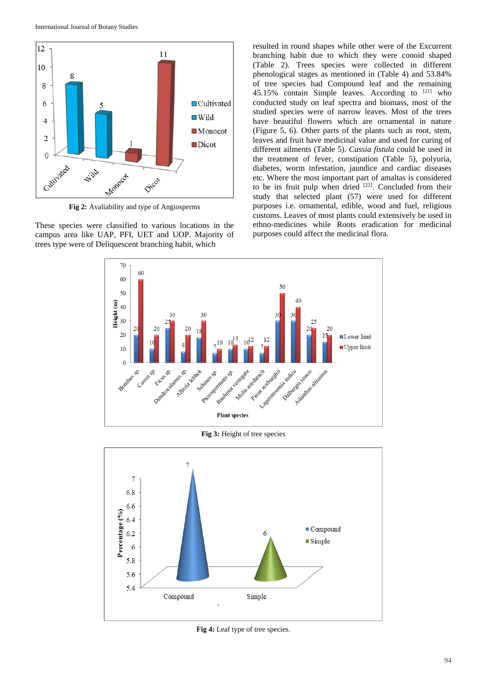

**Fig 2:** Avaliability and type of Angiosperms

These species were classified to various locations in the campus area like UAP, PFI, UET and UOP. Majority of trees type were of Deliquescent branching habit, which

resulted in round shapes while other were of the Excurrent branching habit due to which they were conoid shaped (Table 2). Trees species were collected in different phenological stages as mentioned in (Table 4) and 53.84% of tree species had Compound leaf and the remaining 45.15% contain Simple leaves. According to [21] who conducted study on leaf spectra and biomass, most of the studied species were of narrow leaves. Most of the trees have beautiful flowers which are ornamental in nature (Figure 5, 6). Other parts of the plants such as root, stem, leaves and fruit have medicinal value and used for curing of different ailments (Table 5). *Cassia fistula* could be used in the treatment of fever, constipation (Table 5), polyuria, diabetes, worm infestation, jaundice and cardiac diseases etc. Where the most important part of amaltas is considered to be its fruit pulp when dried  $[22]$ . Concluded from their study that selected plant (57) were used for different purposes i.e. ornamental, edible, wood and fuel, religious customs. Leaves of most plants could extensively be used in ethno-medicines while Roots eradication for medicinal purposes could affect the medicinal flora.



**Fig 3:** Height of tree species



**Fig 4:** Leaf type of tree species.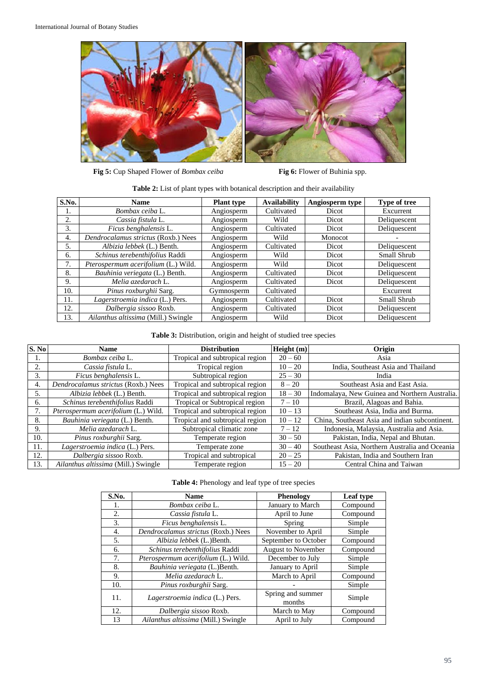

Fig 5: Cup Shaped Flower of *Bombax ceiba* **Fig 6:** Flower of Buhinia spp.

| S.No. | <b>Name</b>                         | <b>Plant type</b> | <b>Availability</b> | Angiosperm type | <b>Type of tree</b> |
|-------|-------------------------------------|-------------------|---------------------|-----------------|---------------------|
| 1.    | Bombax ceiba L.                     | Angiosperm        | Cultivated          | Dicot           | Excurrent           |
| 2.    | Cassia fistula L.                   | Angiosperm        | Wild                | Dicot           | Deliquescent        |
| 3.    | Ficus benghalensis L.               | Angiosperm        | Cultivated          | Dicot           | Deliquescent        |
| 4.    | Dendrocalamus strictus (Roxb.) Nees | Angiosperm        | Wild                | Monocot         |                     |
| 5.    | Albizia lebbek (L.) Benth.          | Angiosperm        | Cultivated          | Dicot           | Deliquescent        |
| 6.    | Schinus terebenthifolius Raddi      | Angiosperm        | Wild                | Dicot           | Small Shrub         |
| 7.    | Pterospermum acerifolium (L.) Wild. | Angiosperm        | Wild                | Dicot           | Deliquescent        |
| 8.    | Bauhinia veriegata (L.) Benth.      | Angiosperm        | Cultivated          | Dicot           | Deliquescent        |
| 9.    | Melia azedarach L.                  | Angiosperm        | Cultivated          | Dicot           | Deliquescent        |
| 10.   | Pinus roxburghii Sarg.              | Gymnosperm        | Cultivated          |                 | Excurrent           |
| 11.   | Lagerstroemia indica (L.) Pers.     | Angiosperm        | Cultivated          | Dicot           | Small Shrub         |
| 12.   | Dalbergia sissoo Roxb.              | Angiosperm        | Cultivated          | Dicot           | Deliquescent        |
| 13.   | Ailanthus altissima (Mill.) Swingle | Angiosperm        | Wild                | Dicot           | Deliquescent        |

### **Table 3:** Distribution, origin and height of studied tree species

| S. No | <b>Name</b>                         | <b>Distribution</b>             | Height(m) | Origin                                         |
|-------|-------------------------------------|---------------------------------|-----------|------------------------------------------------|
|       | Bombax ceiba L.                     | Tropical and subtropical region | $20 - 60$ | Asia                                           |
| 2.    | Cassia fistula L.                   | Tropical region                 | $10 - 20$ | India, Southeast Asia and Thailand             |
| 3.    | Ficus benghalensis L.               | Subtropical region              | $25 - 30$ | India                                          |
| 4.    | Dendrocalamus strictus (Roxb.) Nees | Tropical and subtropical region | $8 - 20$  | Southeast Asia and East Asia.                  |
| 5.    | Albizia lebbek (L.) Benth.          | Tropical and subtropical region | $18 - 30$ | Indomalaya, New Guinea and Northern Australia. |
| 6.    | Schinus terebenthifolius Raddi      | Tropical or Subtropical region  | $7 - 10$  | Brazil, Alagoas and Bahia.                     |
| 7.    | Pterospermum acerifolium (L.) Wild. | Tropical and subtropical region | $10 - 13$ | Southeast Asia, India and Burma.               |
| 8.    | Bauhinia veriegata (L.) Benth.      | Tropical and subtropical region | $10 - 12$ | China, Southeast Asia and indian subcontinent. |
| 9.    | Melia azedarach L.                  | Subtropical climatic zone       | $7 - 12$  | Indonesia, Malaysia, Australia and Asia.       |
| 10.   | Pinus roxburghii Sarg.              | Temperate region                | $30 - 50$ | Pakistan, India, Nepal and Bhutan.             |
| 11.   | Lagerstroemia indica (L.) Pers.     | Temperate zone                  | $30 - 40$ | Southeast Asia, Northern Australia and Oceania |
| 12.   | Dalbergia sissoo Roxb.              | Tropical and subtropical        | $20 - 25$ | Pakistan, India and Southern Iran              |
| 13.   | Ailanthus altissima (Mill.) Swingle | Temperate region                | $15 - 20$ | Central China and Taiwan                       |

| <b>Table 4:</b> Phenology and leaf type of tree species |
|---------------------------------------------------------|
|---------------------------------------------------------|

| S.No. | <b>Name</b>                         | <b>Phenology</b>            | Leaf type |
|-------|-------------------------------------|-----------------------------|-----------|
| 1.    | Bombax ceiba L.                     | <b>January to March</b>     | Compound  |
| 2.    | Cassia fistula L.                   | April to June               | Compound  |
| 3.    | Ficus benghalensis L.               | Spring                      | Simple    |
| 4.    | Dendrocalamus strictus (Roxb.) Nees | November to April           | Simple    |
| 5.    | Albizia lebbek (L.)Benth.           | September to October        | Compound  |
| 6.    | Schinus terebenthifolius Raddi      | <b>August to November</b>   | Compound  |
| 7.    | Pterospermum acerifolium (L.) Wild. | December to July            | Simple    |
| 8.    | Bauhinia veriegata (L.)Benth.       | January to April            | Simple    |
| 9.    | Melia azedarach L.                  | March to April              | Compound  |
| 10.   | Pinus roxburghii Sarg.              |                             | Simple    |
| 11.   | Lagerstroemia indica (L.) Pers.     | Spring and summer<br>months | Simple    |
| 12.   | Dalbergia sissoo Roxb.              | March to May                | Compound  |
| 13    | Ailanthus altissima (Mill.) Swingle | April to July               | Compound  |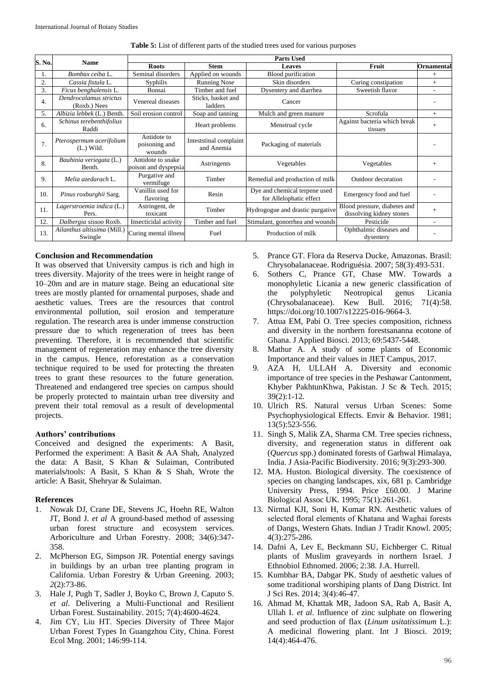| S. No.           | <b>Name</b>                              | <b>Parts Used</b>                            |                                      |                                                          |                                                          |        |  |  |
|------------------|------------------------------------------|----------------------------------------------|--------------------------------------|----------------------------------------------------------|----------------------------------------------------------|--------|--|--|
|                  |                                          | <b>Stem</b><br><b>Roots</b><br><b>Leaves</b> |                                      | Fruit                                                    | <b>Ornamental</b>                                        |        |  |  |
| 1.               | Bombax ceiba L.                          | Seminal disorders                            | Applied on wounds                    | <b>Blood</b> purification                                |                                                          | $^{+}$ |  |  |
| $\overline{2}$ . | Cassia fistula L.                        | <b>Syphilis</b>                              | <b>Running Nose</b>                  | Skin disorders                                           | Curing constipation                                      | $+$    |  |  |
| 3.               | Ficus benghalensis L.                    | Bonsai                                       | Timber and fuel                      | Dysentery and diarrhea                                   | Sweetish flavor                                          | ۰.     |  |  |
| 4.               | Dendrocalamus strictus<br>(Roxb.) Nees   | Venereal diseases                            | Sticks, basket and<br>ladders        | Cancer                                                   |                                                          |        |  |  |
| 5.               | Albizia lebbek (L.) Benth.               | Soil erosion control                         | Soap and tanning                     | Mulch and green manure                                   | Scrofula                                                 | $+$    |  |  |
| 6.               | Schinus terebenthifolius<br>Raddi        |                                              | Heart problems                       | Menstrual cycle                                          | Against bacteria which break<br>tissues                  | $+$    |  |  |
| 7.               | Pterospermum acerifolium<br>$(L.)$ Wild. | Antidote to<br>poisoning and<br>wounds       | Inteststinal complaint<br>and Anemia | Packaging of materials                                   |                                                          |        |  |  |
| 8.               | Bauhinia veriegata (L.)<br>Benth.        | Antidote to snake<br>poison and dyspepsia    | Astringents                          | Vegetables                                               | Vegetables                                               | $+$    |  |  |
| 9.               | Melia azedarach L.                       | Purgative and<br>vermifuge                   | Timber                               | Remedial and production of milk                          | Outdoor decoration                                       |        |  |  |
| 10.              | Pinus roxburghii Sarg.                   | Vanillin used for<br>flavoring               | Resin                                | Dye and chemical terpene used<br>for Allelophatic effect | Emergency food and fuel                                  |        |  |  |
| 11.              | Lagerstroemia indica (L.)<br>Pers.       | Astringent, de<br>toxicant                   | Timber                               | Hydrogogue and drastic purgative                         | Blood pressure, diabetes and<br>dissolving kidney stones | $+$    |  |  |
| 12.              | Dalbergia sissoo Roxb.                   | Insecticidal activity                        | Timber and fuel                      | Stimulant, gonorrhea and wounds                          | Pesticide                                                | $\sim$ |  |  |
| 13.              | Ailanthus altissima (Mill.)<br>Swingle   | Curing mental illness                        | Fuel                                 | Production of milk                                       | Ophthalmic diseases and<br>dysentery                     |        |  |  |

**Table 5:** List of different parts of the studied trees used for various purposes

### **Conclusion and Recommendation**

It was observed that University campus is rich and high in trees diversity. Majority of the trees were in height range of 10–20m and are in mature stage. Being an educational site trees are mostly planted for ornamental purposes, shade and aesthetic values. Trees are the resources that control environmental pollution, soil erosion and temperature regulation. The research area is under immense construction pressure due to which regeneration of trees has been preventing. Therefore, it is recommended that scientific management of regeneration may enhance the tree diversity in the campus. Hence, reforestation as a conservation technique required to be used for protecting the threaten trees to grant these resources to the future generation. Threatened and endangered tree species on campus should be properly protected to maintain urban tree diversity and prevent their total removal as a result of developmental projects.

#### **Authors' contributions**

Conceived and designed the experiments: A Basit, Performed the experiment: A Basit & AA Shah, Analyzed the data: A Basit, S Khan & Sulaiman, Contributed materials**/**tools: A Basit, S Khan & S Shah, Wrote the article: A Basit, Shehryar & Sulaiman.

#### **References**

- 1. Nowak DJ, Crane DE, Stevens JC, Hoehn RE, Walton JT, Bond J. *et al* A ground-based method of assessing urban forest structure and ecosystem services. Arboriculture and Urban Forestry. 2008; 34(6):347- 358.
- 2. McPherson EG, Simpson JR. Potential energy savings in buildings by an urban tree planting program in California. Urban Forestry & Urban Greening. 2003; *2*(2):73-86.
- 3. Hale J, Pugh T, Sadler J, Boyko C, Brown J, Caputo S. *et al*. Delivering a Multi-Functional and Resilient Urban Forest. Sustainability. 2015; 7(4):4600-4624.
- 4. Jim CY, Liu HT. Species Diversity of Three Major Urban Forest Types In Guangzhou City, China. Forest Ecol Mng. 2001; 146:99-114.
- 5. Prance GT. Flora da Reserva Ducke, Amazonas. Brasil: Chrysobalanaceae. Rodriguésia. 2007; 58(3):493-531.
- 6. Sothers C, Prance GT, Chase MW. Towards a monophyletic Licania a new generic classification of the polyphyletic Neotropical genus Licania (Chrysobalanaceae). Kew Bull. 2016; 71(4):58. https://doi.org/10.1007/s12225-016-9664-3.
- 7. Attua EM, Pabi O. Tree species composition, richness and diversity in the northern forestsananna ecotone of Ghana. J Applied Biosci. 2013; 69:5437-5448.
- 8. Mathur A. A study of some plants of Economic Importance and their values in JIET Campus, 2017.
- 9. AZA H, ULLAH A. Diversity and economic importance of tree species in the Peshawar Cantonment, Khyber PakhtunKhwa, Pakistan. J Sc & Tech. 2015; 39(2):1-12*.*
- 10. Ulrich RS. Natural versus Urban Scenes: Some Psychophysiological Effects. Envir & Behavior. 1981; 13(5):523-556.
- 11. Singh S, Malik ZA, Sharma CM. Tree species richness, diversity, and regeneration status in different oak (*Quercus* spp.) dominated forests of Garhwal Himalaya, India. J Asia-Pacific Biodiversity. 2016; 9(3):293-300.
- 12. MA. Huston. Biological diversity. The coexistence of species on changing landscapes, xix, 681 p. Cambridge University Press, 1994. Price £60.00. J Marine Biological Assoc UK. 1995; 75(1):261-261.
- 13. Nirmal KJI, Soni H, Kumar RN. Aesthetic values of selected floral elements of Khatana and Waghai forests of Dangs, Western Ghats. Indian J Tradit Knowl. 2005; 4(3):275-286.
- 14. Dafni A, Lev E, Beckmann SU, Eichberger C. Ritual plants of Muslim graveyards in northern Israel. J Ethnobiol Ethnomed. 2006; 2:38. J.A. Hurrell.
- 15. Kumbhar BA, Dabgar PK. Study of aesthetic values of some traditional worshiping plants of Dang District. Int J Sci Res. 2014; 3(4):46-47.
- 16. Ahmad M, Khattak MR, Jadoon SA, Rab A, Basit A, Ullah I. *et al*. Influence of zinc sulphate on flowering and seed production of flax (*Linum usitatissimum* L.): A medicinal flowering plant. Int J Biosci. 2019; 14(4):464-476.